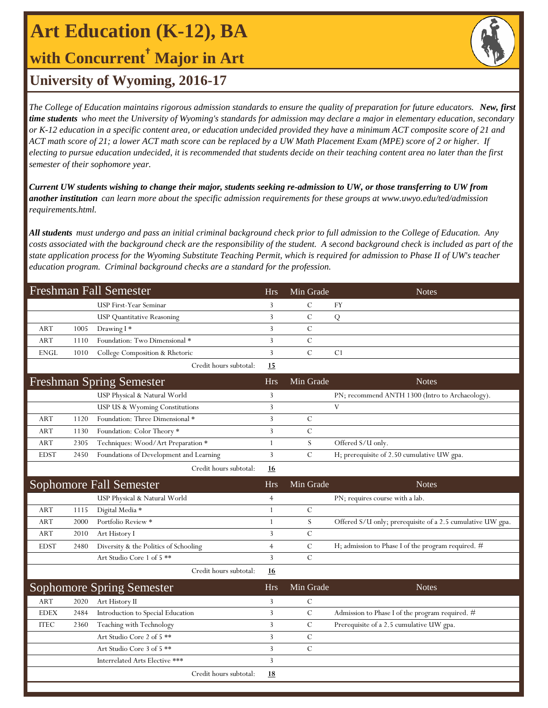**Art Education (K-12), BA**

## **with Concurrent† Major in Art**



### **University of Wyoming, 2016-17**

*The College of Education maintains rigorous admission standards to ensure the quality of preparation for future educators. New, first time students who meet the University of Wyoming's standards for admission may declare a major in elementary education, secondary or K-12 education in a specific content area, or education undecided provided they have a minimum ACT composite score of 21 and ACT math score of 21; a lower ACT math score can be replaced by a UW Math Placement Exam (MPE) score of 2 or higher. If electing to pursue education undecided, it is recommended that students decide on their teaching content area no later than the first semester of their sophomore year.*

*Current UW students wishing to change their major, students seeking re-admission to UW, or those transferring to UW from another institution can learn more about the specific admission requirements for these groups at www.uwyo.edu/ted/admission requirements.html.* 

*All students must undergo and pass an initial criminal background check prior to full admission to the College of Education. Any costs associated with the background check are the responsibility of the student. A second background check is included as part of the state application process for the Wyoming Substitute Teaching Permit, which is required for admission to Phase II of UW's teacher education program. Criminal background checks are a standard for the profession.*

|             |      | <b>Freshman Fall Semester</b>           | <b>Hrs</b>     | Min Grade     | <b>Notes</b>                                               |
|-------------|------|-----------------------------------------|----------------|---------------|------------------------------------------------------------|
|             |      | USP First-Year Seminar                  | 3              | $\mathcal{C}$ | <b>FY</b>                                                  |
|             |      | <b>USP</b> Quantitative Reasoning       | 3              | $\mathbf C$   | Q                                                          |
| <b>ART</b>  | 1005 | Drawing I*                              | 3              | $\mathcal{C}$ |                                                            |
| ART         | 1110 | Foundation: Two Dimensional *           | 3              | $\mathsf{C}$  |                                                            |
| <b>ENGL</b> | 1010 | College Composition & Rhetoric          | 3              | $\mathcal{C}$ | C1                                                         |
|             |      | Credit hours subtotal:                  | 15             |               |                                                            |
|             |      | <b>Freshman Spring Semester</b>         | <b>Hrs</b>     | Min Grade     | <b>Notes</b>                                               |
|             |      | USP Physical & Natural World            | 3              |               | PN; recommend ANTH 1300 (Intro to Archaeology).            |
|             |      | USP US & Wyoming Constitutions          | 3              |               | $\mathbf{V}$                                               |
| <b>ART</b>  | 1120 | Foundation: Three Dimensional *         | 3              | $\mathcal{C}$ |                                                            |
| <b>ART</b>  | 1130 | Foundation: Color Theory *              | 3              | $\mathcal{C}$ |                                                            |
| <b>ART</b>  | 2305 | Techniques: Wood/Art Preparation *      | $\mathbf{1}$   | S             | Offered S/U only.                                          |
| <b>EDST</b> | 2450 | Foundations of Development and Learning | 3              | $\mathcal{C}$ | H; prerequisite of 2.50 cumulative UW gpa.                 |
|             |      | Credit hours subtotal:                  | <u>16</u>      |               |                                                            |
|             |      | <b>Sophomore Fall Semester</b>          | <b>Hrs</b>     | Min Grade     | <b>Notes</b>                                               |
|             |      | USP Physical & Natural World            | $\overline{4}$ |               | PN; requires course with a lab.                            |
| ART         | 1115 | Digital Media *                         | 1              | $\mathcal{C}$ |                                                            |
| <b>ART</b>  | 2000 | Portfolio Review *                      | $\mathbf{1}$   | S             | Offered S/U only; prerequisite of a 2.5 cumulative UW gpa. |
| ART         | 2010 | Art History I                           | 3              | $\mathcal{C}$ |                                                            |
| <b>EDST</b> | 2480 | Diversity & the Politics of Schooling   | $\overline{4}$ | $\mathcal{C}$ | H; admission to Phase I of the program required. #         |
|             |      | Art Studio Core 1 of 5 **               | 3              | $\mathcal{C}$ |                                                            |
|             |      | Credit hours subtotal:                  | <u>16</u>      |               |                                                            |
|             |      | <b>Sophomore Spring Semester</b>        | <b>Hrs</b>     | Min Grade     | <b>Notes</b>                                               |
| <b>ART</b>  | 2020 | Art History II                          | 3              | $\mathcal{C}$ |                                                            |
| <b>EDEX</b> | 2484 | Introduction to Special Education       | 3              | $\mathcal{C}$ | Admission to Phase I of the program required. #            |
| <b>ITEC</b> | 2360 | Teaching with Technology                | 3              | $\mathcal{C}$ | Prerequisite of a 2.5 cumulative UW gpa.                   |
|             |      | Art Studio Core 2 of 5 **               | 3              | $\mathcal{C}$ |                                                            |
|             |      | Art Studio Core 3 of 5 **               | 3              | $\mathcal{C}$ |                                                            |
|             |      | Interrelated Arts Elective ***          | 3              |               |                                                            |
|             |      | Credit hours subtotal:                  | <u>18</u>      |               |                                                            |
|             |      |                                         |                |               |                                                            |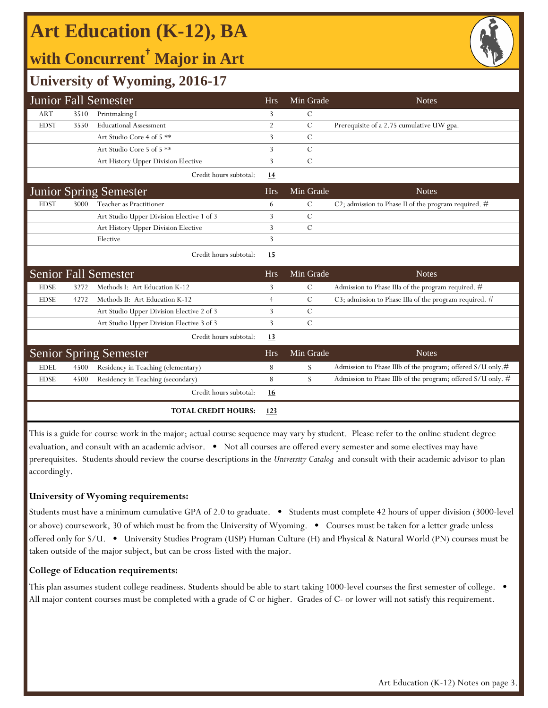# **Art Education (K-12), BA**

# **with Concurrent† Major in Art**



## **University of Wyoming, 2016-17**

|             |      | <b>Junior Fall Semester</b>               | <b>Hrs</b>     | Min Grade      | <b>Notes</b>                                                 |
|-------------|------|-------------------------------------------|----------------|----------------|--------------------------------------------------------------|
| <b>ART</b>  | 3510 | Printmaking I                             | 3              | C              |                                                              |
| <b>EDST</b> | 3550 | <b>Educational Assessment</b>             | $\overline{2}$ | $\overline{C}$ | Prerequisite of a 2.75 cumulative UW gpa.                    |
|             |      | Art Studio Core 4 of 5 **                 | 3              | $\mathcal{C}$  |                                                              |
|             |      | Art Studio Core 5 of 5 **                 | 3              | $\mathcal{C}$  |                                                              |
|             |      | Art History Upper Division Elective       | 3              | $\mathcal{C}$  |                                                              |
|             |      | Credit hours subtotal:                    | <u>14</u>      |                |                                                              |
|             |      | <b>Junior Spring Semester</b>             | <b>Hrs</b>     | Min Grade      | <b>Notes</b>                                                 |
| <b>EDST</b> | 3000 | Teacher as Practitioner                   | 6              | $\mathbf C$    | C2; admission to Phase II of the program required. #         |
|             |      | Art Studio Upper Division Elective 1 of 3 | 3              | $\mathcal{C}$  |                                                              |
|             |      | Art History Upper Division Elective       | 3              | $\mathcal{C}$  |                                                              |
|             |      | Elective                                  | 3              |                |                                                              |
|             |      | Credit hours subtotal:                    | <u>15</u>      |                |                                                              |
|             |      | <b>Senior Fall Semester</b>               | <b>Hrs</b>     | Min Grade      | <b>Notes</b>                                                 |
| <b>EDSE</b> | 3272 | Methods I: Art Education K-12             | 3              | $\mathcal{C}$  | Admission to Phase IIIa of the program required. #           |
| <b>EDSE</b> | 4272 | Methods II: Art Education K-12            | $\overline{4}$ | C              | C3; admission to Phase IIIa of the program required. $#$     |
|             |      | Art Studio Upper Division Elective 2 of 3 | 3              | $\mathcal{C}$  |                                                              |
|             |      | Art Studio Upper Division Elective 3 of 3 | 3              | $\mathcal{C}$  |                                                              |
|             |      | Credit hours subtotal:                    | 13             |                |                                                              |
|             |      | <b>Senior Spring Semester</b>             | <b>Hrs</b>     | Min Grade      | <b>Notes</b>                                                 |
| <b>EDEL</b> | 4500 | Residency in Teaching (elementary)        | 8              | S              | Admission to Phase IIIb of the program; offered $S/U$ only.# |
| <b>EDSE</b> | 4500 | Residency in Teaching (secondary)         | 8              | S              | Admission to Phase IIIb of the program; offered S/U only. #  |
|             |      | Credit hours subtotal:                    | <u>16</u>      |                |                                                              |
|             |      | <b>TOTAL CREDIT HOURS:</b>                | 123            |                |                                                              |

This is a guide for course work in the major; actual course sequence may vary by student. Please refer to the online student degree evaluation, and consult with an academic advisor. • Not all courses are offered every semester and some electives may have prerequisites. Students should review the course descriptions in the *University Catalog* and consult with their academic advisor to plan accordingly.

### **University of Wyoming requirements:**

Students must have a minimum cumulative GPA of 2.0 to graduate. • Students must complete 42 hours of upper division (3000-level or above) coursework, 30 of which must be from the University of Wyoming. • Courses must be taken for a letter grade unless offered only for S/U. • University Studies Program (USP) Human Culture (H) and Physical & Natural World (PN) courses must be taken outside of the major subject, but can be cross-listed with the major.

### **College of Education requirements:**

This plan assumes student college readiness. Students should be able to start taking 1000-level courses the first semester of college. All major content courses must be completed with a grade of C or higher. Grades of C- or lower will not satisfy this requirement.